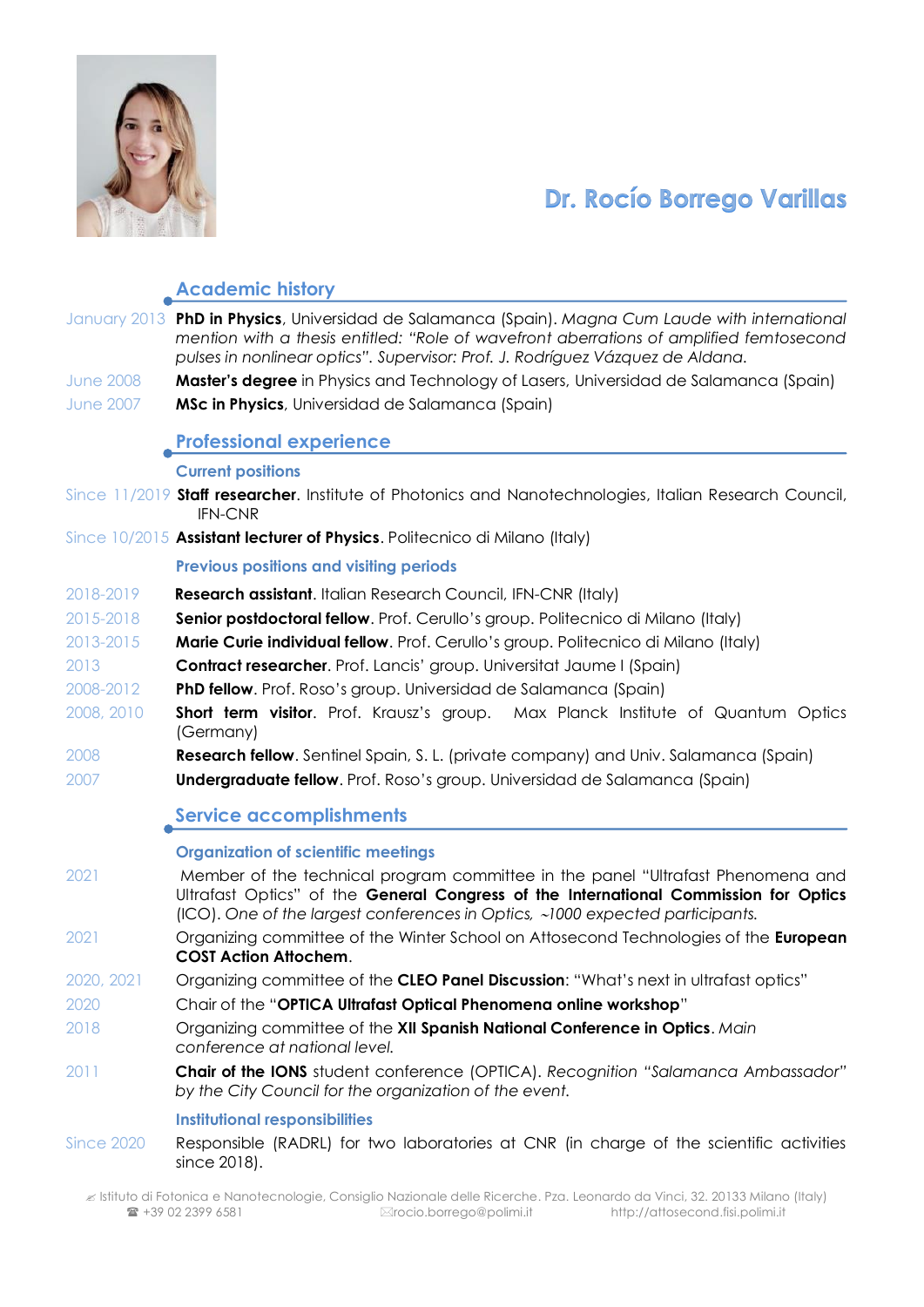

# Dr. Rocío Borrego Varillas

# **Academic history**

|                   | January 2013 PhD in Physics, Universidad de Salamanca (Spain). Magna Cum Laude with international<br>mention with a thesis entitled: "Role of wavefront aberrations of amplified femtosecond<br>pulses in nonlinear optics". Supervisor: Prof. J. Rodríguez Vázquez de Aldana. |
|-------------------|--------------------------------------------------------------------------------------------------------------------------------------------------------------------------------------------------------------------------------------------------------------------------------|
| <b>June 2008</b>  | Master's degree in Physics and Technology of Lasers, Universidad de Salamanca (Spain)                                                                                                                                                                                          |
| <b>June 2007</b>  | MSc in Physics, Universidad de Salamanca (Spain)                                                                                                                                                                                                                               |
|                   | <b>Professional experience</b>                                                                                                                                                                                                                                                 |
|                   | <b>Current positions</b>                                                                                                                                                                                                                                                       |
|                   | Since 11/2019 Staff researcher. Institute of Photonics and Nanotechnologies, Italian Research Council,<br><b>IFN-CNR</b>                                                                                                                                                       |
|                   | Since 10/2015 Assistant lecturer of Physics. Politecnico di Milano (Italy)                                                                                                                                                                                                     |
|                   | <b>Previous positions and visiting periods</b>                                                                                                                                                                                                                                 |
| 2018-2019         | <b>Research assistant.</b> Italian Research Council, IFN-CNR (Italy)                                                                                                                                                                                                           |
| 2015-2018         | Senior postdoctoral fellow. Prof. Cerullo's group. Politecnico di Milano (Italy)                                                                                                                                                                                               |
| 2013-2015         | Marie Curie individual fellow. Prof. Cerullo's group. Politecnico di Milano (Italy)                                                                                                                                                                                            |
| 2013              | Contract researcher. Prof. Lancis' group. Universitat Jaume I (Spain)                                                                                                                                                                                                          |
| 2008-2012         | <b>PhD fellow.</b> Prof. Roso's group. Universidad de Salamanca (Spain)                                                                                                                                                                                                        |
| 2008, 2010        | Short term visitor. Prof. Krausz's group. Max Planck Institute of Quantum Optics<br>(Germany)                                                                                                                                                                                  |
| 2008              | Research fellow. Sentinel Spain, S. L. (private company) and Univ. Salamanca (Spain)                                                                                                                                                                                           |
| 2007              | <b>Undergraduate fellow.</b> Prof. Roso's group. Universidad de Salamanca (Spain)                                                                                                                                                                                              |
|                   | <b>Service accomplishments</b>                                                                                                                                                                                                                                                 |
|                   | <b>Organization of scientific meetings</b>                                                                                                                                                                                                                                     |
| 2021              | Member of the technical program committee in the panel "Ultrafast Phenomena and<br>Ultrafast Optics" of the General Congress of the International Commission for Optics<br>(ICO). One of the largest conferences in Optics, ~1000 expected participants.                       |
| 2021              | Organizing committee of the Winter School on Attosecond Technologies of the European<br><b>COST Action Attochem.</b>                                                                                                                                                           |
| 2020, 2021        | Organizing committee of the CLEO Panel Discussion: "What's next in ultrafast optics"                                                                                                                                                                                           |
| 2020              | Chair of the "OPTICA Ultrafast Optical Phenomena online workshop"                                                                                                                                                                                                              |
| 2018              | Organizing committee of the XII Spanish National Conference in Optics. Main<br>conference at national level.                                                                                                                                                                   |
| 2011              | Chair of the IONS student conference (OPTICA). Recognition "Salamanca Ambassador"<br>by the City Council for the organization of the event.                                                                                                                                    |
|                   | <b>Institutional responsibilities</b>                                                                                                                                                                                                                                          |
| <b>Since 2020</b> | Responsible (RADRL) for two laboratories at CNR (in charge of the scientific activities<br>since 2018).                                                                                                                                                                        |

 Istituto di Fotonica e Nanotecnologie, Consiglio Nazionale delle Ricerche. Pza. Leonardo da Vinci, 32. 20133 Milano (Italy) +39 02 2399 6581 rocio.borrego@polimi.it http://attosecond.fisi.polimi.it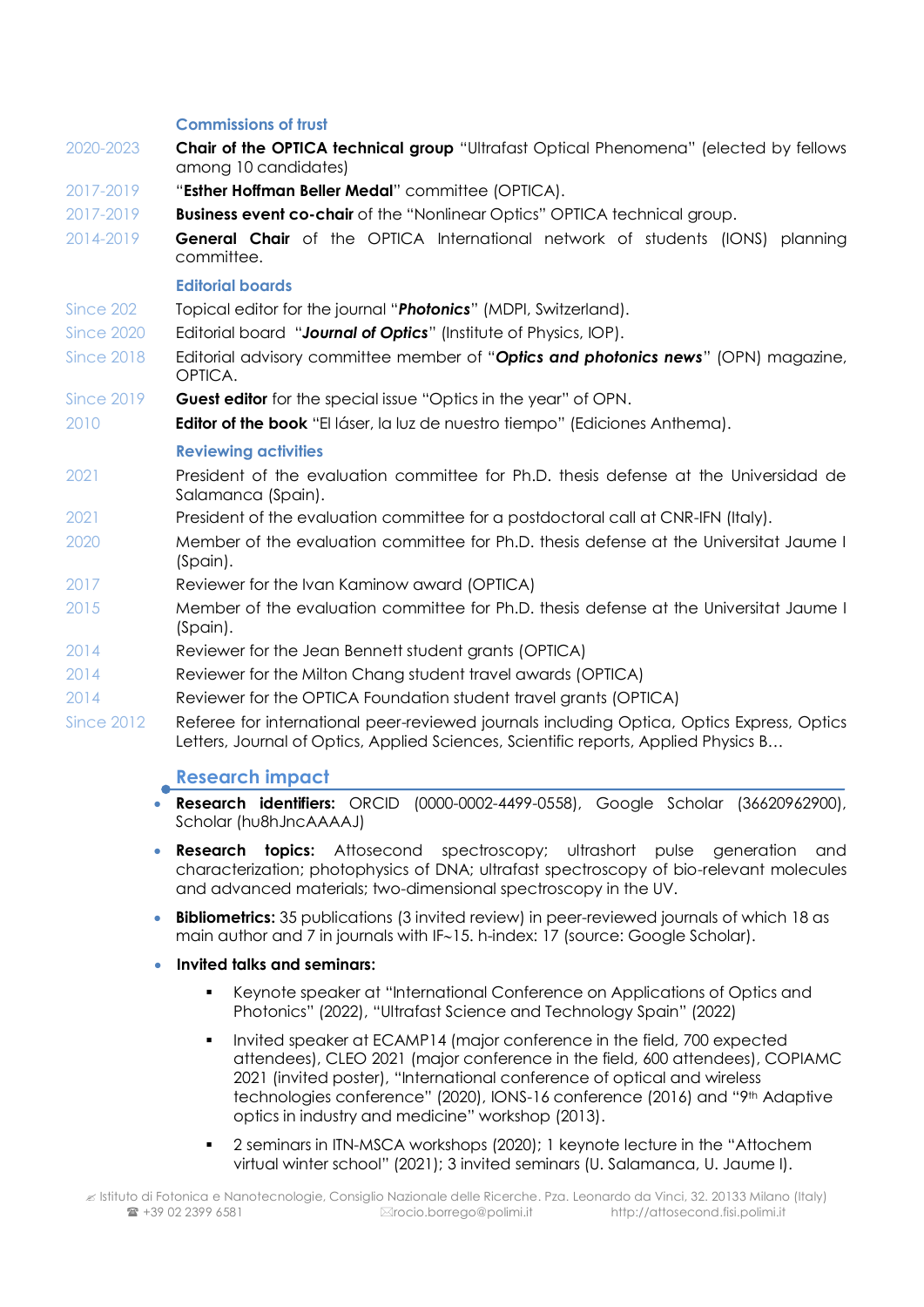#### **Commissions of trust**

- 2020-2023 **Chair of the OPTICA technical group** "Ultrafast Optical Phenomena" (elected by fellows among 10 candidates)
- 2017-2019 "**Esther Hoffman Beller Medal**" committee (OPTICA).
- 2017-2019 **Business event co-chair** of the "Nonlinear Optics" OPTICA technical group.
- 2014-2019 **General Chair** of the OPTICA International network of students (IONS) planning committee.

#### **Editorial boards**

- Since 202 Topical editor for the journal "*Photonics*" (MDPI, Switzerland).
- Since 2020 Editorial board "*Journal of Optics*" (Institute of Physics, IOP).
- Since 2018 Editorial advisory committee member of "*Optics and photonics news*" (OPN) magazine, OPTICA.
- Since 2019 **Guest editor** for the special issue "Optics in the year" of OPN.
- 2010 **Editor of the book** "El láser, la luz de nuestro tiempo" (Ediciones Anthema).

## **Reviewing activities**

- 2021 President of the evaluation committee for Ph.D. thesis defense at the Universidad de Salamanca (Spain).
- 2021 President of the evaluation committee for a postdoctoral call at CNR-IFN (Italy).
- 2020 Member of the evaluation committee for Ph.D. thesis defense at the Universitat Jaume I (Spain).
- 2017 Reviewer for the Ivan Kaminow award (OPTICA)
- 2015 Member of the evaluation committee for Ph.D. thesis defense at the Universitat Jaume I (Spain).
- 2014 Reviewer for the Jean Bennett student grants (OPTICA)
- 2014 Reviewer for the Milton Chang student travel awards (OPTICA)
- 2014 Reviewer for the OPTICA Foundation student travel grants (OPTICA)
- Since 2012 Referee for international peer-reviewed journals including Optica, Optics Express, Optics Letters, Journal of Optics, Applied Sciences, Scientific reports, Applied Physics B…

## **Research impact**

- **Research identifiers:** ORCID (0000-0002-4499-0558), Google Scholar (36620962900), Scholar (hu8hJncAAAAJ)
- **Research topics:** Attosecond spectroscopy; ultrashort pulse generation and characterization; photophysics of DNA; ultrafast spectroscopy of bio-relevant molecules and advanced materials; two-dimensional spectroscopy in the UV.
- **Bibliometrics:** 35 publications (3 invited review) in peer-reviewed journals of which 18 as main author and 7 in journals with  $F-15$ . h-index: 17 (source: Google Scholar).

#### • **Invited talks and seminars:**

- Keynote speaker at "International Conference on Applications of Optics and Photonics" (2022), "Ultrafast Science and Technology Spain" (2022)
- Invited speaker at ECAMP14 (major conference in the field, 700 expected attendees), CLEO 2021 (major conference in the field, 600 attendees), COPIAMC 2021 (invited poster), "International conference of optical and wireless technologies conference" (2020), IONS-16 conference (2016) and "9th Adaptive optics in industry and medicine" workshop (2013).
- 2 seminars in ITN-MSCA workshops (2020); 1 keynote lecture in the "Attochem virtual winter school" (2021); 3 invited seminars (U. Salamanca, U. Jaume I).